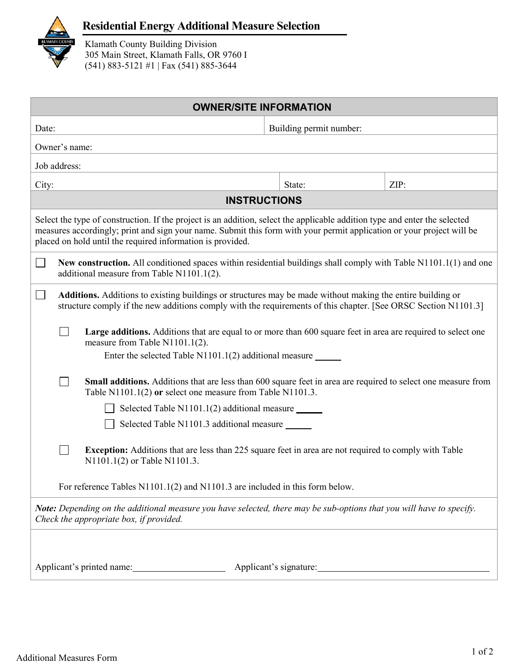

## **Residential Energy Additional Measure Selection**

Klamath County Building Division 305 Main Street, Klamath Falls, OR 9760 I (541) 883-5121 #1 | Fax (541) 885-3644

| <b>OWNER/SITE INFORMATION</b>                                                                                                                                                                                                                                                                                     |                                                                                                                                                                                                                                     |                                                                                                                                                                                                                  |  |                         |      |  |  |  |  |
|-------------------------------------------------------------------------------------------------------------------------------------------------------------------------------------------------------------------------------------------------------------------------------------------------------------------|-------------------------------------------------------------------------------------------------------------------------------------------------------------------------------------------------------------------------------------|------------------------------------------------------------------------------------------------------------------------------------------------------------------------------------------------------------------|--|-------------------------|------|--|--|--|--|
| Date:                                                                                                                                                                                                                                                                                                             |                                                                                                                                                                                                                                     |                                                                                                                                                                                                                  |  | Building permit number: |      |  |  |  |  |
| Owner's name:                                                                                                                                                                                                                                                                                                     |                                                                                                                                                                                                                                     |                                                                                                                                                                                                                  |  |                         |      |  |  |  |  |
| Job address:                                                                                                                                                                                                                                                                                                      |                                                                                                                                                                                                                                     |                                                                                                                                                                                                                  |  |                         |      |  |  |  |  |
| City:                                                                                                                                                                                                                                                                                                             |                                                                                                                                                                                                                                     |                                                                                                                                                                                                                  |  | State:                  | ZIP: |  |  |  |  |
| <b>INSTRUCTIONS</b>                                                                                                                                                                                                                                                                                               |                                                                                                                                                                                                                                     |                                                                                                                                                                                                                  |  |                         |      |  |  |  |  |
| Select the type of construction. If the project is an addition, select the applicable addition type and enter the selected<br>measures accordingly; print and sign your name. Submit this form with your permit application or your project will be<br>placed on hold until the required information is provided. |                                                                                                                                                                                                                                     |                                                                                                                                                                                                                  |  |                         |      |  |  |  |  |
|                                                                                                                                                                                                                                                                                                                   | New construction. All conditioned spaces within residential buildings shall comply with Table N1101.1(1) and one<br>additional measure from Table N1101.1(2).                                                                       |                                                                                                                                                                                                                  |  |                         |      |  |  |  |  |
|                                                                                                                                                                                                                                                                                                                   | <b>Additions.</b> Additions to existing buildings or structures may be made without making the entire building or<br>structure comply if the new additions comply with the requirements of this chapter. [See ORSC Section N1101.3] |                                                                                                                                                                                                                  |  |                         |      |  |  |  |  |
|                                                                                                                                                                                                                                                                                                                   |                                                                                                                                                                                                                                     | Large additions. Additions that are equal to or more than 600 square feet in area are required to select one<br>measure from Table N1101.1(2).<br>Enter the selected Table N1101.1(2) additional measure _______ |  |                         |      |  |  |  |  |
|                                                                                                                                                                                                                                                                                                                   |                                                                                                                                                                                                                                     | <b>Small additions.</b> Additions that are less than 600 square feet in area are required to select one measure from<br>Table N1101.1(2) or select one measure from Table N1101.3.                               |  |                         |      |  |  |  |  |
|                                                                                                                                                                                                                                                                                                                   |                                                                                                                                                                                                                                     | Selected Table N1101.1(2) additional measure ______                                                                                                                                                              |  |                         |      |  |  |  |  |
|                                                                                                                                                                                                                                                                                                                   |                                                                                                                                                                                                                                     | Selected Table N1101.3 additional measure                                                                                                                                                                        |  |                         |      |  |  |  |  |
|                                                                                                                                                                                                                                                                                                                   |                                                                                                                                                                                                                                     | <b>Exception:</b> Additions that are less than 225 square feet in area are not required to comply with Table<br>N1101.1(2) or Table N1101.3.                                                                     |  |                         |      |  |  |  |  |
|                                                                                                                                                                                                                                                                                                                   |                                                                                                                                                                                                                                     | For reference Tables N1101.1(2) and N1101.3 are included in this form below.                                                                                                                                     |  |                         |      |  |  |  |  |
| Note: Depending on the additional measure you have selected, there may be sub-options that you will have to specify.<br>Check the appropriate box, if provided.                                                                                                                                                   |                                                                                                                                                                                                                                     |                                                                                                                                                                                                                  |  |                         |      |  |  |  |  |
|                                                                                                                                                                                                                                                                                                                   |                                                                                                                                                                                                                                     |                                                                                                                                                                                                                  |  |                         |      |  |  |  |  |
| Applicant's printed name:<br>Applicant's signature:                                                                                                                                                                                                                                                               |                                                                                                                                                                                                                                     |                                                                                                                                                                                                                  |  |                         |      |  |  |  |  |